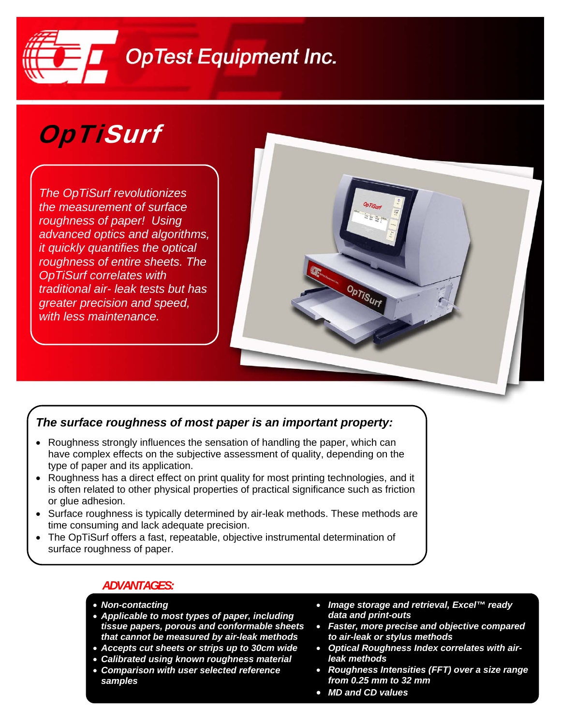

# OpTiSurf

*The OpTiSurf revolutionizes the measurement of surface roughness of paper! Using advanced optics and algorithms, it quickly quantifies the optical roughness of entire sheets. The OpTiSurf correlates with traditional air- leak tests but has greater precision and speed, with less maintenance.* 

### *The surface roughness of most paper is an important property:*

- Roughness strongly influences the sensation of handling the paper, which can have complex effects on the subjective assessment of quality, depending on the type of paper and its application.
- Roughness has a direct effect on print quality for most printing technologies, and it is often related to other physical properties of practical significance such as friction or glue adhesion.
- Surface roughness is typically determined by air-leak methods. These methods are time consuming and lack adequate precision.
- The OpTiSurf offers a fast, repeatable, objective instrumental determination of surface roughness of paper.

#### *ADVANTAGES:*

- *Non-contacting*
- *Applicable to most types of paper, including tissue papers, porous and conformable sheets that cannot be measured by air-leak methods*
- *Accepts cut sheets or strips up to 30cm wide*
- *Calibrated using known roughness material*
- *Comparison with user selected reference samples*
- *Image storage and retrieval, Excel™ ready data and print-outs*
- *Faster, more precise and objective compared to air-leak or stylus methods*
- *Optical Roughness Index correlates with airleak methods*
- *Roughness Intensities (FFT) over a size range from 0.25 mm to 32 mm*
- *MD and CD values*